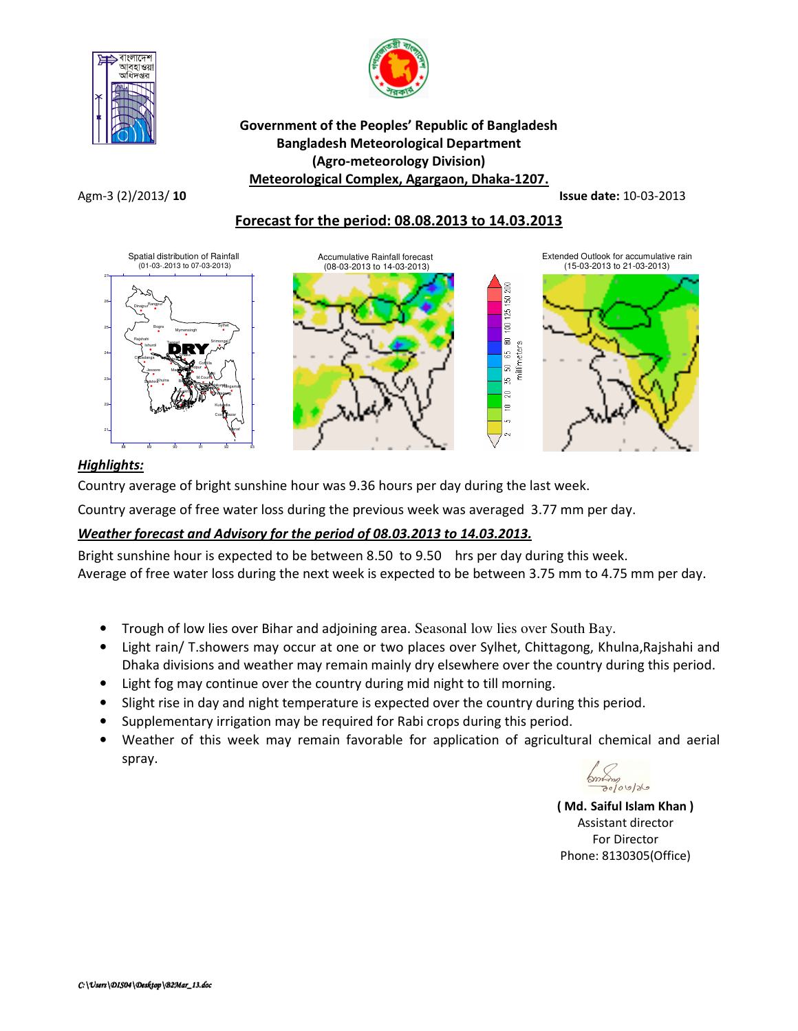



### Government of the Peoples' Republic of Bangladesh Bangladesh Meteorological Department (Agro-meteorology Division) Meteorological Complex, Agargaon, Dhaka-1207.

Agm-3 (2)/2013/ 10 **Issue date:** 10-03-2013

# Forecast for the period: 08.08.2013 to 14.03.2013



# Highlights:

Country average of bright sunshine hour was 9.36 hours per day during the last week.

Country average of free water loss during the previous week was averaged 3.77 mm per day.

# Weather forecast and Advisory for the period of 08.03.2013 to 14.03.2013.

Bright sunshine hour is expected to be between 8.50 to 9.50 hrs per day during this week. Average of free water loss during the next week is expected to be between 3.75 mm to 4.75 mm per day.

- Trough of low lies over Bihar and adjoining area. Seasonal low lies over South Bay.
- Light rain/ T.showers may occur at one or two places over Sylhet, Chittagong, Khulna, Rajshahi and Dhaka divisions and weather may remain mainly dry elsewhere over the country during this period.
- Light fog may continue over the country during mid night to till morning.
- Slight rise in day and night temperature is expected over the country during this period.
- Supplementary irrigation may be required for Rabi crops during this period.
- Weather of this week may remain favorable for application of agricultural chemical and aerial spray.



( Md. Saiful Islam Khan ) Assistant director For Director Phone: 8130305(Office)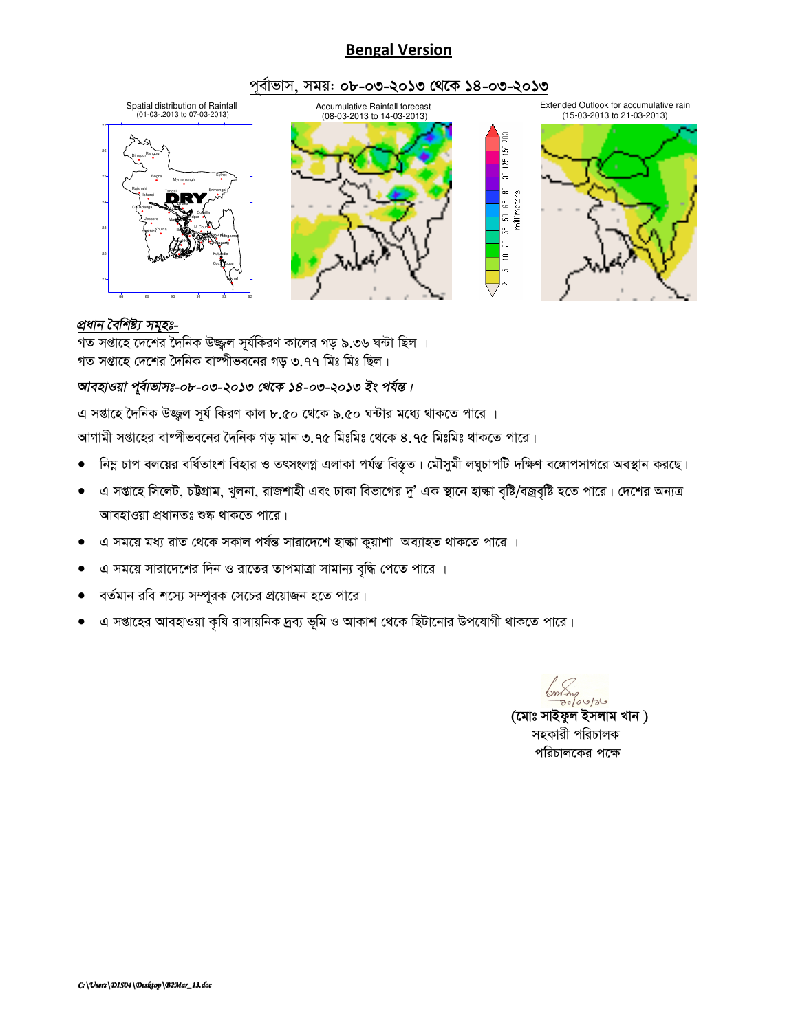# **Bengal Version**

#### পূর্বাভাস, সময়: ০৮-০৩-২০১৩ থেকে ১৪-০৩-২০১৩



#### প্ৰধান বৈশিষ্ট্য সমূহঃ-

গত সপ্তাহে দেশের দৈনিক উজ্জ্বল সূর্যকিরণ কালের গড় ৯.৩৬ ঘন্টা ছিল । গত সপ্তাহে দেশের দৈনিক বাষ্পীভবনের গড় ৩.৭৭ মিঃ মিঃ ছিল।

#### আবহাওয়া পুর্বাভাসঃ-০৮-০৩-২০১৩ থেকে ১৪-০৩-২০১৩ ইং পর্যন্ত।

এ সপ্তাহে দৈনিক উজ্জল সূর্য কিরণ কাল ৮.৫০ থেকে ৯.৫০ ঘন্টার মধ্যে থাকতে পারে ।

আগামী সপ্তাহের বাম্পীভবনের দৈনিক গড় মান ৩.৭৫ মিঃমিঃ থেকে ৪.৭৫ মিঃমিঃ থাকতে পারে।

- নিম্ন চাপ বলয়ের বর্ধিতাংশ বিহার ও তৎসংলগ্ন এলাকা পর্যন্ত বিস্তৃত। মৌসুমী লঘুচাপটি দক্ষিণ বঙ্গোপসাগরে অবস্থান করছে।
- এ সপ্তাহে সিলেট, চউগ্রাম, খুলনা, রাজশাহী এবং ঢাকা বিভাগের দু' এক স্থানে হাল্কা বৃষ্টি/বজ্রবৃষ্টি হতে পারে। দেশের অন্যত্র  $\bullet$ আবহাওয়া প্রধানতঃ শুষ্ক থাকতে পারে।
- এ সময়ে মধ্য রাত থেকে সকাল পর্যন্ত সারাদেশে হাঙ্কা কুয়াশা অব্যাহত থাকতে পারে ।  $\bullet$
- এ সময়ে সারাদেশের দিন ও রাতের তাপমাত্রা সামান্য বৃদ্ধি পেতে পারে ।
- বর্তমান রবি শস্যে সম্পূরক সেচের প্রয়োজন হতে পারে।
- এ সপ্তাহের আবহাওয়া কৃষি রাসায়নিক দ্রব্য ভূমি ও আকাশ থেকে ছিটানোর উপযোগী থাকতে পারে।

 $km$  $80/00/86$ 

(মোঃ সাইফুল ইসলাম খান) সহকারী পরিচালক পরিচালকের পক্ষে